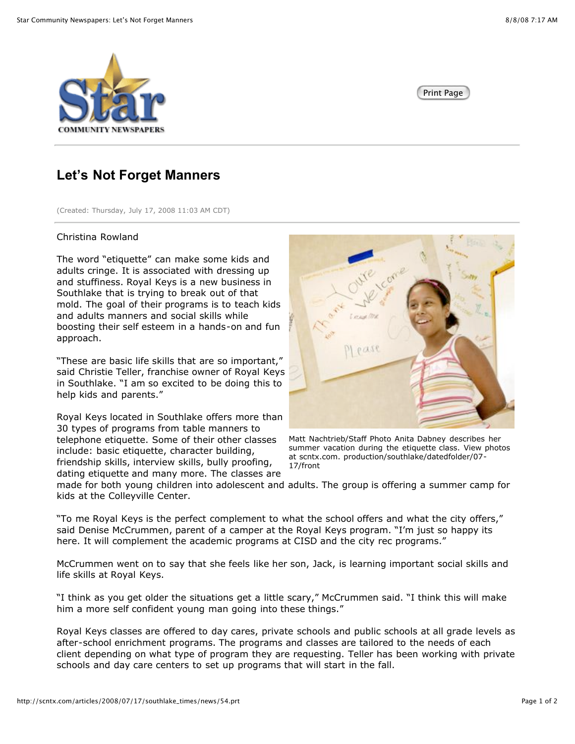



## **Let's Not Forget Manners**

(Created: Thursday, July 17, 2008 11:03 AM CDT)

## Christina Rowland

The word "etiquette" can make some kids and adults cringe. It is associated with dressing up and stuffiness. Royal Keys is a new business in Southlake that is trying to break out of that mold. The goal of their programs is to teach kids and adults manners and social skills while boosting their self esteem in a hands-on and fun approach.

"These are basic life skills that are so important," said Christie Teller, franchise owner of Royal Keys in Southlake. "I am so excited to be doing this to help kids and parents."

Royal Keys located in Southlake offers more than 30 types of programs from table manners to telephone etiquette. Some of their other classes include: basic etiquette, character building, friendship skills, interview skills, bully proofing, dating etiquette and many more. The classes are



Matt Nachtrieb/Staff Photo Anita Dabney describes her summer vacation during the etiquette class. View photos at scntx.com. production/southlake/datedfolder/07- 17/front

made for both young children into adolescent and adults. The group is offering a summer camp for kids at the Colleyville Center.

"To me Royal Keys is the perfect complement to what the school offers and what the city offers," said Denise McCrummen, parent of a camper at the Royal Keys program. "I'm just so happy its here. It will complement the academic programs at CISD and the city rec programs."

McCrummen went on to say that she feels like her son, Jack, is learning important social skills and life skills at Royal Keys.

"I think as you get older the situations get a little scary," McCrummen said. "I think this will make him a more self confident young man going into these things."

Royal Keys classes are offered to day cares, private schools and public schools at all grade levels as after-school enrichment programs. The programs and classes are tailored to the needs of each client depending on what type of program they are requesting. Teller has been working with private schools and day care centers to set up programs that will start in the fall.